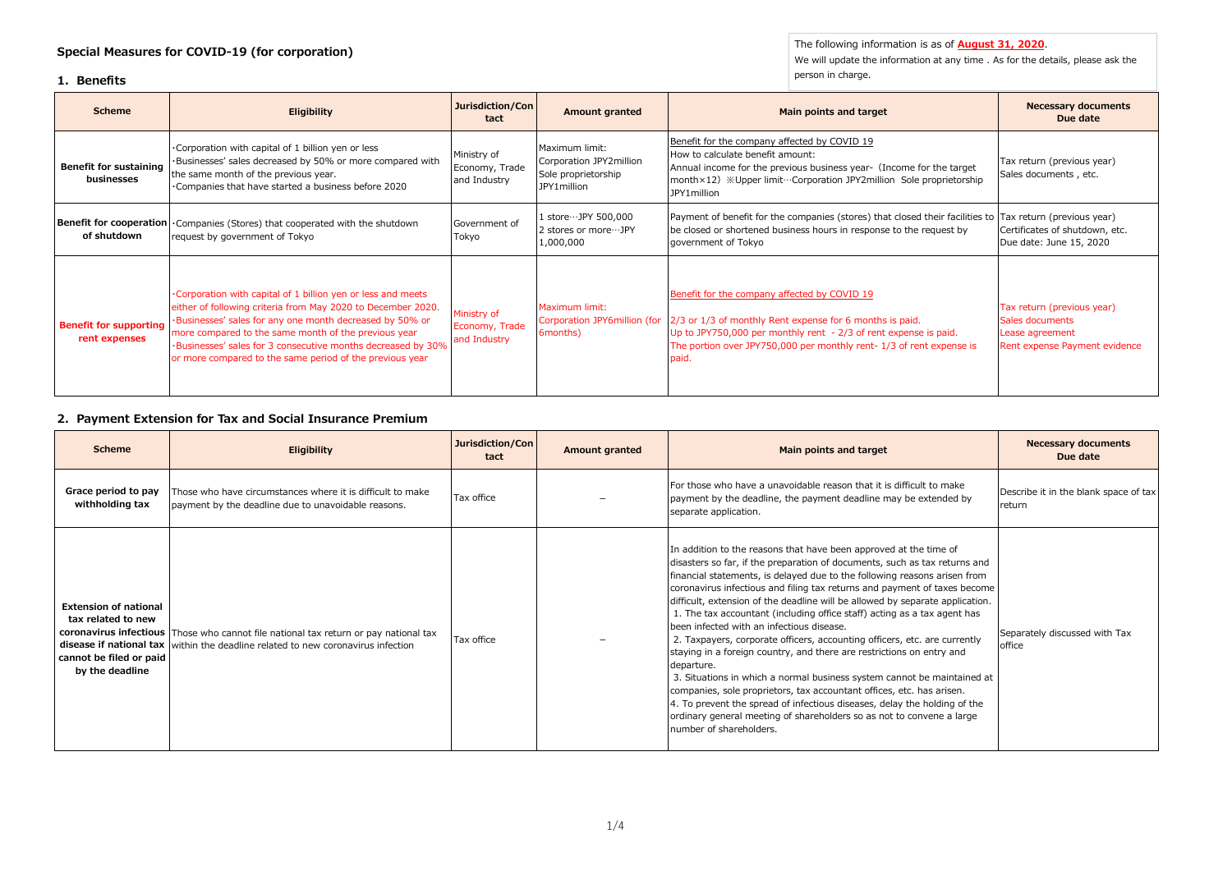**Special Measures for COVID-19 (for corporation)**

#### **1. Benefits**

The following information is as of **August 31, 2020**.

We will update the information at any time . As for the details, please ask the person in charge.

| <b>Scheme</b>                                  | <b>Eligibility</b>                                                                                                                                                                                                                                                                                                                                                            | Jurisdiction/Con<br>tact                      | Amount granted                                                                  | Main points and target                                                                                                                                                                                                                                                                    | <b>Necessary documents</b><br>Due date                                                            |
|------------------------------------------------|-------------------------------------------------------------------------------------------------------------------------------------------------------------------------------------------------------------------------------------------------------------------------------------------------------------------------------------------------------------------------------|-----------------------------------------------|---------------------------------------------------------------------------------|-------------------------------------------------------------------------------------------------------------------------------------------------------------------------------------------------------------------------------------------------------------------------------------------|---------------------------------------------------------------------------------------------------|
| Benefit for sustaining<br>businesses           | . Corporation with capital of 1 billion yen or less<br>·Businesses' sales decreased by 50% or more compared with<br>the same month of the previous year.<br>•Companies that have started a business before 2020                                                                                                                                                               | Ministry of<br>Economy, Trade<br>and Industry | Maximum limit:<br>Corporation JPY2million<br>Sole proprietorship<br>JPY1million | Benefit for the company affected by COVID 19<br>How to calculate benefit amount:<br>Annual income for the previous business year- (Income for the target<br>month × 12) ※ Upper limit…Corporation JPY2 million Sole proprietorship<br>JPY1million                                         | Tax return (previous year)<br>Sales documents, etc.                                               |
| of shutdown                                    | <b>Benefit for cooperation</b> Companies (Stores) that cooperated with the shutdown<br>request by government of Tokyo                                                                                                                                                                                                                                                         | Government of<br>Tokyo                        | 1 store…JPY 500,000<br>2 stores or more ··· JPY<br>1,000,000                    | Payment of benefit for the companies (stores) that closed their facilities to Tax return (previous year)<br>be closed or shortened business hours in response to the request by<br>government of Tokyo                                                                                    | Certificates of shutdown, etc.<br>Due date: June 15, 2020                                         |
| <b>Benefit for supporting</b><br>rent expenses | . Corporation with capital of 1 billion yen or less and meets<br>either of following criteria from May 2020 to December 2020.<br>·Businesses' sales for any one month decreased by 50% or<br>more compared to the same month of the previous year<br>·Businesses' sales for 3 consecutive months decreased by 30%<br>or more compared to the same period of the previous year | Ministry of<br>Economy, Trade<br>and Industry | Maximum limit:<br>6months)                                                      | Benefit for the company affected by COVID 19<br>Corporation JPY6million (for 2/3 or 1/3 of monthly Rent expense for 6 months is paid.<br>Up to JPY750,000 per monthly rent - 2/3 of rent expense is paid.<br>The portion over JPY750,000 per monthly rent-1/3 of rent expense is<br>paid. | Tax return (previous year)<br>Sales documents<br>Lease agreement<br>Rent expense Payment evidence |

## **2. Payment Extension for Tax and Social Insurance Premium**

| <b>Scheme</b>                                                                                    | Eligibility                                                                                                                                                              | Jurisdiction/Con<br>tact | Amount granted | Main points and target                                                                                                                                                                                                                                                                                                                                                                                                                                                                                                                                                                                                                                                                                                                                                                                                                                                                                                                                                                                                       | <b>Necessary documents</b><br>Due date          |
|--------------------------------------------------------------------------------------------------|--------------------------------------------------------------------------------------------------------------------------------------------------------------------------|--------------------------|----------------|------------------------------------------------------------------------------------------------------------------------------------------------------------------------------------------------------------------------------------------------------------------------------------------------------------------------------------------------------------------------------------------------------------------------------------------------------------------------------------------------------------------------------------------------------------------------------------------------------------------------------------------------------------------------------------------------------------------------------------------------------------------------------------------------------------------------------------------------------------------------------------------------------------------------------------------------------------------------------------------------------------------------------|-------------------------------------------------|
| Grace period to pay<br>withholding tax                                                           | Those who have circumstances where it is difficult to make<br>payment by the deadline due to unavoidable reasons.                                                        | Tax office               |                | For those who have a unavoidable reason that it is difficult to make<br>payment by the deadline, the payment deadline may be extended by<br>separate application.                                                                                                                                                                                                                                                                                                                                                                                                                                                                                                                                                                                                                                                                                                                                                                                                                                                            | Describe it in the blank space of tax<br>return |
| <b>Extension of national</b><br>tax related to new<br>cannot be filed or paid<br>by the deadline | coronavirus infectious Those who cannot file national tax return or pay national tax<br>disease if national tax within the deadline related to new coronavirus infection | Tax office               |                | In addition to the reasons that have been approved at the time of<br>disasters so far, if the preparation of documents, such as tax returns and<br>financial statements, is delayed due to the following reasons arisen from<br>coronavirus infectious and filing tax returns and payment of taxes become<br>difficult, extension of the deadline will be allowed by separate application.<br>1. The tax accountant (including office staff) acting as a tax agent has<br>been infected with an infectious disease.<br>2. Taxpayers, corporate officers, accounting officers, etc. are currently<br>staying in a foreign country, and there are restrictions on entry and<br>departure.<br>3. Situations in which a normal business system cannot be maintained at<br>companies, sole proprietors, tax accountant offices, etc. has arisen.<br>4. To prevent the spread of infectious diseases, delay the holding of the<br>ordinary general meeting of shareholders so as not to convene a large<br>number of shareholders. | Separately discussed with Tax<br>office         |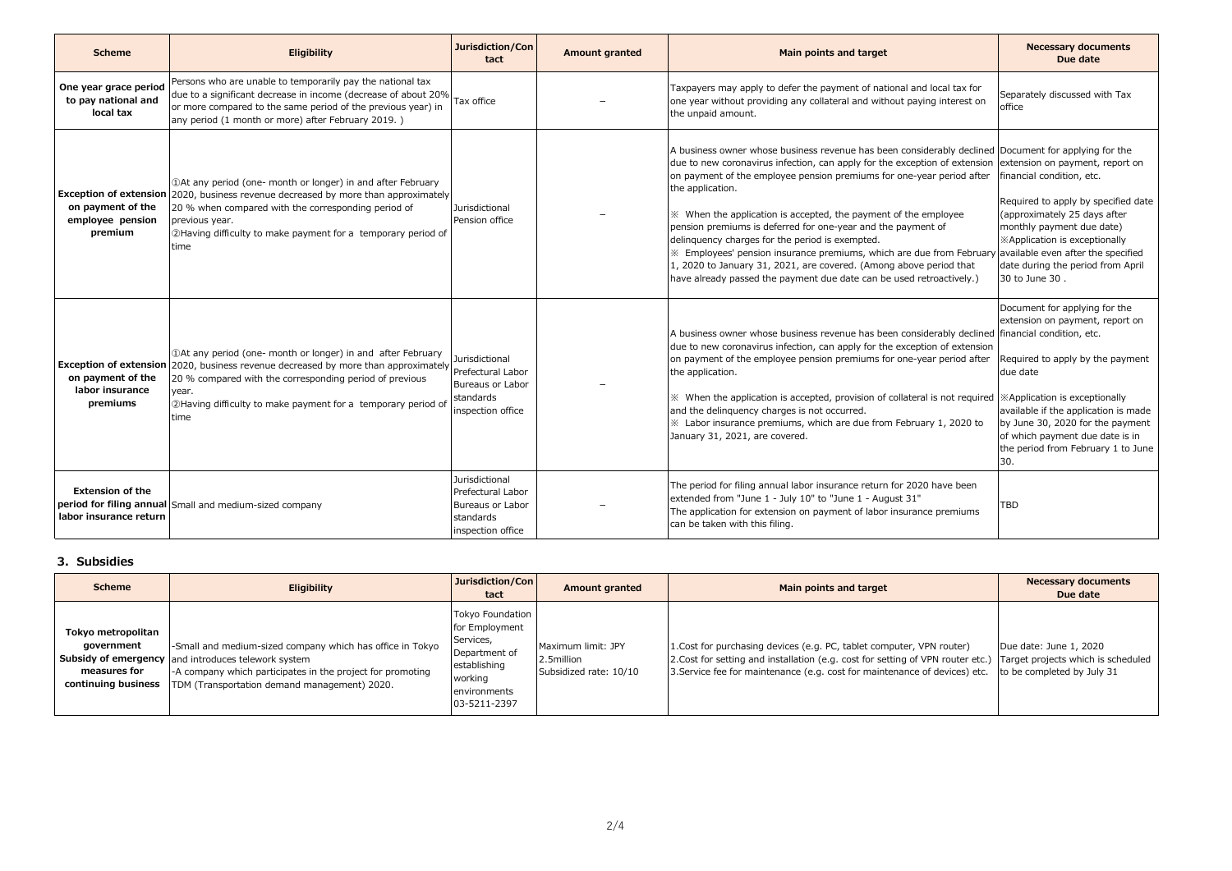| <b>Scheme</b>                                             | <b>Eligibility</b>                                                                                                                                                                                                                                                                                                                        | Jurisdiction/Con<br>tact                                                                  | <b>Amount granted</b> | Main points and target                                                                                                                                                                                                                                                                                                                                                                                                                                                                                                                                                                                                                                                                                                                                         | <b>Necessary documents</b><br>Due date                                                                                                                                                                                                                                       |
|-----------------------------------------------------------|-------------------------------------------------------------------------------------------------------------------------------------------------------------------------------------------------------------------------------------------------------------------------------------------------------------------------------------------|-------------------------------------------------------------------------------------------|-----------------------|----------------------------------------------------------------------------------------------------------------------------------------------------------------------------------------------------------------------------------------------------------------------------------------------------------------------------------------------------------------------------------------------------------------------------------------------------------------------------------------------------------------------------------------------------------------------------------------------------------------------------------------------------------------------------------------------------------------------------------------------------------------|------------------------------------------------------------------------------------------------------------------------------------------------------------------------------------------------------------------------------------------------------------------------------|
| One year grace period<br>to pay national and<br>local tax | Persons who are unable to temporarily pay the national tax<br>due to a significant decrease in income (decrease of about 20%<br>or more compared to the same period of the previous year) in<br>any period (1 month or more) after February 2019.)                                                                                        | Tax office                                                                                |                       | Taxpayers may apply to defer the payment of national and local tax for<br>one year without providing any collateral and without paying interest on<br>the unpaid amount.                                                                                                                                                                                                                                                                                                                                                                                                                                                                                                                                                                                       | Separately discussed with Tax<br>office                                                                                                                                                                                                                                      |
| on payment of the<br>employee pension<br>premium          | <b>Exception of extension</b> 2020, business revenue decreased by more than approximately<br>20 % when compared with the corresponding period of<br>previous year.<br>2Having difficulty to make payment for a temporary period of<br>time                                                                                                | Jurisdictional<br>Pension office                                                          |                       | A business owner whose business revenue has been considerably declined Document for applying for the<br>due to new coronavirus infection, can apply for the exception of extension extension on payment, report on<br>on payment of the employee pension premiums for one-year period after<br>the application.<br>* When the application is accepted, the payment of the employee<br>pension premiums is deferred for one-year and the payment of<br>delinquency charges for the period is exempted.<br>X Employees' pension insurance premiums, which are due from February available even after the specified<br>1, 2020 to January 31, 2021, are covered. (Among above period that<br>have already passed the payment due date can be used retroactively.) | financial condition, etc.<br>Required to apply by specified date<br>(approximately 25 days after<br>monthly payment due date)<br><b>XApplication is exceptionally</b><br>date during the period from April<br>30 to June 30.                                                 |
| on payment of the<br>labor insurance<br>premiums          | 10 10 10 10 and after February (1) 10 At any period (one- month or longer) in and after February<br><b>Exception of extension</b> 2020, business revenue decreased by more than approximately<br>20 % compared with the corresponding period of previous<br>vear.<br>2Having difficulty to make payment for a temporary period of<br>time | Jurisdictional<br>Prefectural Labor<br>Bureaus or Labor<br>standards<br>inspection office |                       | A business owner whose business revenue has been considerably declined financial condition, etc.<br>due to new coronavirus infection, can apply for the exception of extension<br>on payment of the employee pension premiums for one-year period after<br>the application.<br>* When the application is accepted, provision of collateral is not required   *Application is exceptionally<br>and the delinguency charges is not occurred.<br>* Labor insurance premiums, which are due from February 1, 2020 to<br>January 31, 2021, are covered.                                                                                                                                                                                                             | Document for applying for the<br>extension on payment, report on<br>Required to apply by the payment<br>due date<br>available if the application is made<br>by June 30, 2020 for the payment<br>of which payment due date is in<br>the period from February 1 to June<br>30. |
| <b>Extension of the</b><br>labor insurance return         | period for filing annual Small and medium-sized company                                                                                                                                                                                                                                                                                   | Jurisdictional<br>Prefectural Labor<br>Bureaus or Labor<br>standards<br>inspection office |                       | The period for filing annual labor insurance return for 2020 have been<br>extended from "June 1 - July 10" to "June 1 - August 31"<br>The application for extension on payment of labor insurance premiums<br>can be taken with this filing.                                                                                                                                                                                                                                                                                                                                                                                                                                                                                                                   | <b>TBD</b>                                                                                                                                                                                                                                                                   |

## **3. Subsidies**

| <b>Scheme</b>                                                           | <b>Eligibility</b>                                                                                                                                                                                                             | Jurisdiction/Con<br>tact                                                                                                    | <b>Amount granted</b>                                      | Main points and target                                                                                                                                                                                                                 | <b>Necessary documents</b><br>Due date                                                     |
|-------------------------------------------------------------------------|--------------------------------------------------------------------------------------------------------------------------------------------------------------------------------------------------------------------------------|-----------------------------------------------------------------------------------------------------------------------------|------------------------------------------------------------|----------------------------------------------------------------------------------------------------------------------------------------------------------------------------------------------------------------------------------------|--------------------------------------------------------------------------------------------|
| Tokyo metropolitan<br>government<br>measures for<br>continuing business | -Small and medium-sized company which has office in Tokyo<br>Subsidy of emergency and introduces telework system<br>-A company which participates in the project for promoting<br>TDM (Transportation demand management) 2020. | Tokyo Foundation<br>for Employment<br>Services,<br>Department of<br>establishing<br>working<br>environments<br>03-5211-2397 | Maximum limit: JPY<br>2.5million<br>Subsidized rate: 10/10 | 1. Cost for purchasing devices (e.g. PC, tablet computer, VPN router)<br>2. Cost for setting and installation (e.g. cost for setting of VPN router etc.)<br>3. Service fee for maintenance (e.g. cost for maintenance of devices) etc. | Due date: June 1, 2020<br>Target projects which is scheduled<br>to be completed by July 31 |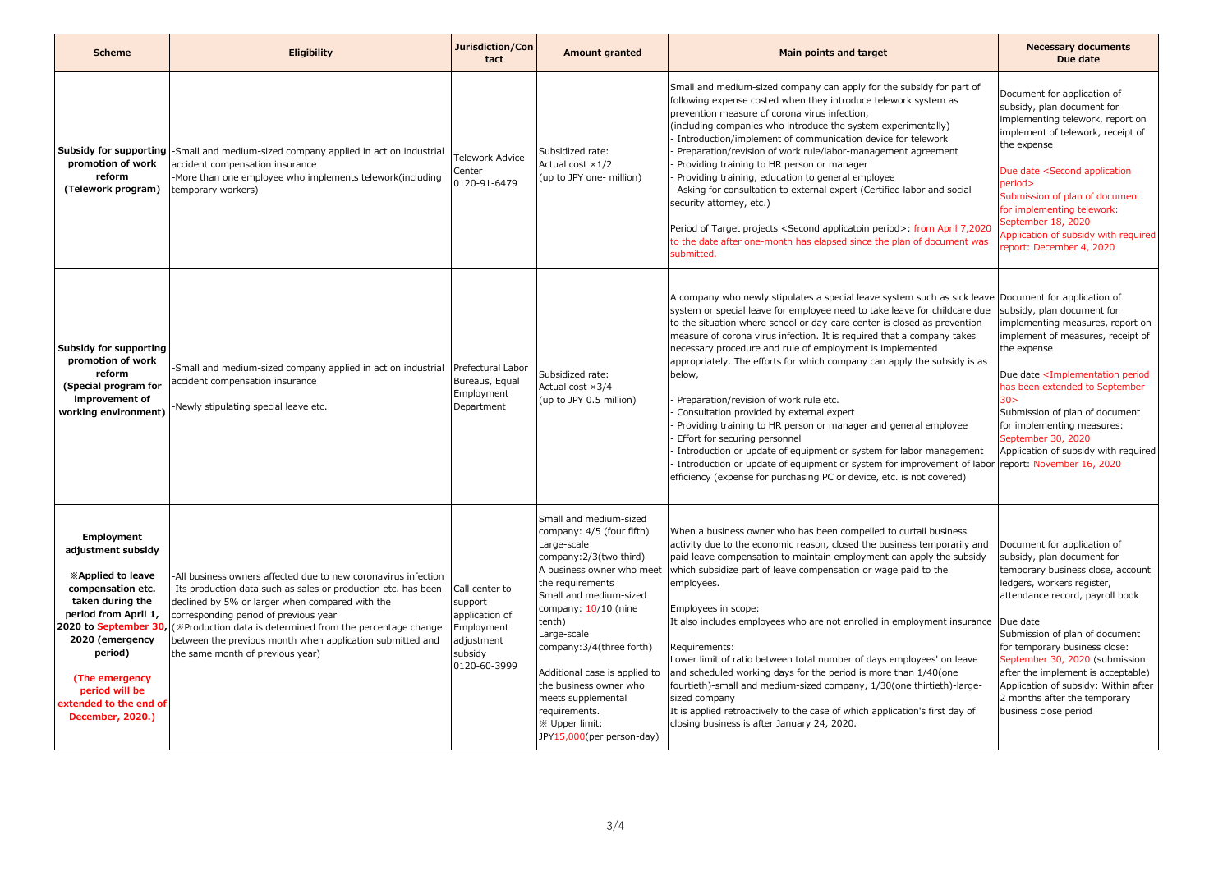| <b>Scheme</b>                                                                                                                                                                                                                                  | Eligibility                                                                                                                                                                                                                                                                                                                                                                                                       | Jurisdiction/Con<br>tact                                                                           | <b>Amount granted</b>                                                                                                                                                                                                                                                                                                                                                                                   | Main points and target                                                                                                                                                                                                                                                                                                                                                                                                                                                                                                                                                                                                                                                                                                                                                                                                                                                                                                                  | <b>Necessary documents</b><br>Due date                                                                                                                                                                                                                                                                                                                                                                      |
|------------------------------------------------------------------------------------------------------------------------------------------------------------------------------------------------------------------------------------------------|-------------------------------------------------------------------------------------------------------------------------------------------------------------------------------------------------------------------------------------------------------------------------------------------------------------------------------------------------------------------------------------------------------------------|----------------------------------------------------------------------------------------------------|---------------------------------------------------------------------------------------------------------------------------------------------------------------------------------------------------------------------------------------------------------------------------------------------------------------------------------------------------------------------------------------------------------|-----------------------------------------------------------------------------------------------------------------------------------------------------------------------------------------------------------------------------------------------------------------------------------------------------------------------------------------------------------------------------------------------------------------------------------------------------------------------------------------------------------------------------------------------------------------------------------------------------------------------------------------------------------------------------------------------------------------------------------------------------------------------------------------------------------------------------------------------------------------------------------------------------------------------------------------|-------------------------------------------------------------------------------------------------------------------------------------------------------------------------------------------------------------------------------------------------------------------------------------------------------------------------------------------------------------------------------------------------------------|
| promotion of work<br>reform<br>(Telework program)                                                                                                                                                                                              | Subsidy for supporting  -Small and medium-sized company applied in act on industrial<br>accident compensation insurance<br>More than one employee who implements telework(including<br>temporary workers)                                                                                                                                                                                                         | <b>Telework Advice</b><br>Center<br>0120-91-6479                                                   | Subsidized rate:<br>Actual cost $\times$ 1/2<br>(up to JPY one- million)                                                                                                                                                                                                                                                                                                                                | Small and medium-sized company can apply for the subsidy for part of<br>following expense costed when they introduce telework system as<br>prevention measure of corona virus infection,<br>(including companies who introduce the system experimentally)<br>Introduction/implement of communication device for telework<br>Preparation/revision of work rule/labor-management agreement<br>Providing training to HR person or manager<br>Providing training, education to general employee<br>Asking for consultation to external expert (Certified labor and social<br>security attorney, etc.)<br>Period of Target projects <second applicatoin="" period="">: from April 7,2020<br/>to the date after one-month has elapsed since the plan of document was<br/>submitted.</second>                                                                                                                                                  | Document for application of<br>subsidy, plan document for<br>implementing telework, report on<br>implement of telework, receipt of<br>the expense<br>Due date <second application<br="">period&gt;<br/>Submission of plan of document<br/>for implementing telework:<br/>September 18, 2020<br/>Application of subsidy with required<br/>report: December 4, 2020</second>                                  |
| Subsidy for supporting<br>promotion of work<br>reform<br>(Special program for<br>improvement of<br>working environment)                                                                                                                        | Small and medium-sized company applied in act on industrial<br>accident compensation insurance<br>Newly stipulating special leave etc.                                                                                                                                                                                                                                                                            | Prefectural Labor<br>Bureaus, Equal<br>Employment<br>Department                                    | Subsidized rate:<br>Actual cost $\times 3/4$<br>(up to JPY 0.5 million)                                                                                                                                                                                                                                                                                                                                 | A company who newly stipulates a special leave system such as sick leave Document for application of<br>system or special leave for employee need to take leave for childcare due<br>to the situation where school or day-care center is closed as prevention<br>measure of corona virus infection. It is required that a company takes<br>necessary procedure and rule of employment is implemented<br>appropriately. The efforts for which company can apply the subsidy is as<br>below,<br>Preparation/revision of work rule etc.<br>Consultation provided by external expert<br>Providing training to HR person or manager and general employee<br>Effort for securing personnel<br>Introduction or update of equipment or system for labor management<br>Introduction or update of equipment or system for improvement of labor report: November 16, 2020<br>efficiency (expense for purchasing PC or device, etc. is not covered) | subsidy, plan document for<br>implementing measures, report on<br>implement of measures, receipt of<br>the expense<br>Due date <implementation period<br="">has been extended to September<br/>30 &gt;<br/>Submission of plan of document<br/>for implementing measures:<br/>September 30, 2020<br/>Application of subsidy with required</implementation>                                                   |
| Employment<br>adjustment subsidy<br><b>Examplied to leave</b><br>compensation etc.<br>taken during the<br>period from April 1,<br>2020 (emergency<br>period)<br>(The emergency<br>period will be<br>extended to the end of<br>December, 2020.) | -All business owners affected due to new coronavirus infection<br>-Its production data such as sales or production etc. has been<br>declined by 5% or larger when compared with the<br>corresponding period of previous year<br>2020 to September 30, (*Production data is determined from the percentage change<br>between the previous month when application submitted and<br>the same month of previous year) | Call center to<br>support<br>application of<br>Employment<br>adjustment<br>subsidy<br>0120-60-3999 | Small and medium-sized<br>company: 4/5 (four fifth)<br>Large-scale<br>company: 2/3(two third)<br>A business owner who meet<br>the requirements<br>Small and medium-sized<br>company: 10/10 (nine<br>tenth)<br>Large-scale<br>company: 3/4(three forth)<br>Additional case is applied to<br>the business owner who<br>meets supplemental<br>requirements.<br>※ Upper limit:<br>JPY15,000(per person-day) | When a business owner who has been compelled to curtail business<br>activity due to the economic reason, closed the business temporarily and<br>paid leave compensation to maintain employment can apply the subsidy<br>which subsidize part of leave compensation or wage paid to the<br>employees.<br>Employees in scope:<br>It also includes employees who are not enrolled in employment insurance Due date<br>Requirements:<br>Lower limit of ratio between total number of days employees' on leave<br>and scheduled working days for the period is more than 1/40(one<br>fourtieth)-small and medium-sized company, 1/30(one thirtieth)-large-<br>sized company<br>It is applied retroactively to the case of which application's first day of<br>closing business is after January 24, 2020.                                                                                                                                    | Document for application of<br>subsidy, plan document for<br>temporary business close, account<br>ledgers, workers register,<br>attendance record, payroll book<br>Submission of plan of document<br>for temporary business close:<br>September 30, 2020 (submission<br>after the implement is acceptable)<br>Application of subsidy: Within after<br>2 months after the temporary<br>business close period |